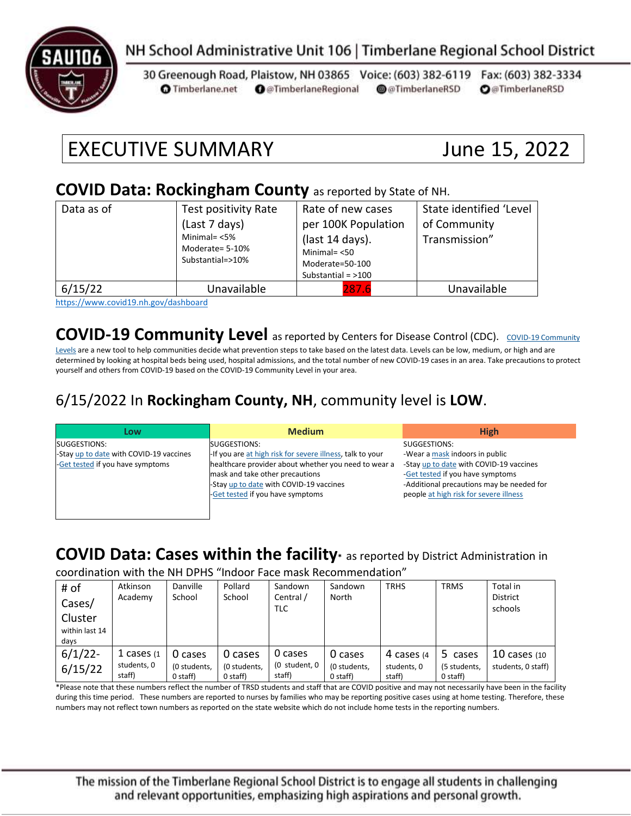

# NH School Administrative Unit 106 | Timberlane Regional School District

30 Greenough Road, Plaistow, NH 03865 Voice: (603) 382-6119 Fax: (603) 382-3334 **O** Timberlane.net **O** @TimberlaneRegional @@TimberlaneRSD **O**@TimberlaneRSD

# EXECUTIVE SUMMARY June 15, 2022

#### **COVID Data: Rockingham County** as reported by State of NH.

| Data as of | Test positivity Rate<br>(Last 7 days)<br>Minimal= $<$ 5%<br>Moderate= 5-10%<br>Substantial=>10% | Rate of new cases<br>per 100K Population<br>(last 14 days).<br>Minimal $=$ <50<br>Moderate=50-100<br>Substantial = $>100$ | State identified 'Level<br>of Community<br>Transmission" |
|------------|-------------------------------------------------------------------------------------------------|---------------------------------------------------------------------------------------------------------------------------|----------------------------------------------------------|
| 6/15/22    | Unavailable                                                                                     | 287.6                                                                                                                     | Unavailable                                              |

<https://www.covid19.nh.gov/dashboard>

### **[COVID-19 Community](https://www.cdc.gov/coronavirus/2019-ncov/science/community-levels.html) Level** as reported by Centers for Disease Control (CDC). COVID-19 Community

[Levels](https://www.cdc.gov/coronavirus/2019-ncov/science/community-levels.html) are a new tool to help communities decide what prevention steps to take based on the latest data. Levels can be low, medium, or high and are determined by looking at hospital beds being used, hospital admissions, and the total number of new COVID-19 cases in an area. Take precautions to protect yourself and others from COVID-19 based on the COVID-19 Community Level in your area.

### 6/15/2022 In **Rockingham County, NH**, community level is **LOW**.

| Low                                     | <b>Medium</b>                                             | <b>High</b>                               |
|-----------------------------------------|-----------------------------------------------------------|-------------------------------------------|
| SUGGESTIONS:                            | SUGGESTIONS:                                              | SUGGESTIONS:                              |
| -Stay up to date with COVID-19 vaccines | -If you are at high risk for severe illness, talk to your | -Wear a mask indoors in public            |
| -Get tested if you have symptoms        | healthcare provider about whether you need to wear a      | -Stay up to date with COVID-19 vaccines   |
|                                         | mask and take other precautions                           | -Get tested if you have symptoms          |
|                                         | -Stay up to date with COVID-19 vaccines                   | -Additional precautions may be needed for |
|                                         | -Get tested if you have symptoms                          | people at high risk for severe illness    |
|                                         |                                                           |                                           |
|                                         |                                                           |                                           |

# **COVID Data: Cases within the facility\*** as reported by District Administration in

coordination with the NH DPHS "Indoor Face mask Recommendation"

| # of<br>Cases/<br>Cluster<br>within last 14<br>days | Atkinson<br>Academy                    | Danville<br>School                  | Pollard<br>School                     | Sandown<br>Central /<br>TLC        | Sandown<br>North                      | <b>TRHS</b>                         | <b>TRMS</b>                         | Total in<br><b>District</b><br>schools |
|-----------------------------------------------------|----------------------------------------|-------------------------------------|---------------------------------------|------------------------------------|---------------------------------------|-------------------------------------|-------------------------------------|----------------------------------------|
| $6/1/22$ -<br>6/15/22                               | 1 cases $(1)$<br>students, 0<br>staff) | 0 cases<br>(0 students,<br>0 staff) | 0 cases<br>(0 students,<br>$0$ staff) | 0 cases<br>(0 student, 0<br>staff) | 0 cases<br>(0 students,<br>$0$ staff) | 4 cases (4<br>students. 0<br>staff) | 5 cases<br>(5 students,<br>0 staff) | 10 cases $(10)$<br>students, 0 staff)  |

\*Please note that these numbers reflect the number of TRSD students and staff that are COVID positive and may not necessarily have been in the facility during this time period. These numbers are reported to nurses by families who may be reporting positive cases using at home testing. Therefore, these numbers may not reflect town numbers as reported on the state website which do not include home tests in the reporting numbers.

The mission of the Timberlane Regional School District is to engage all students in challenging and relevant opportunities, emphasizing high aspirations and personal growth.